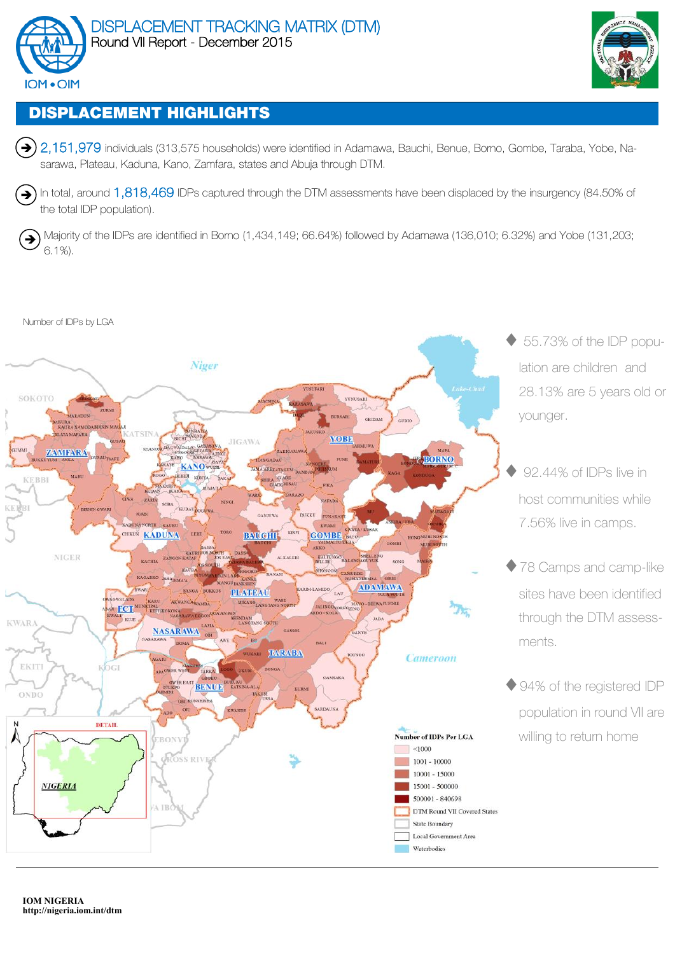



## **DISPLACEMENT HIGHLIGHTS**

 $\rightarrow$   $\mid$  2,151,979 individuals (313,575 households) were identified in Adamawa, Bauchi, Benue, Borno, Gombe, Taraba, Yobe, Nasarawa, Plateau, Kaduna, Kano, Zamfara, states and Abuja through DTM.

In total, around 1,818,469 IDPs captured through the DTM assessments have been displaced by the insurgency (84.50% of the total IDP population).  $\rightarrow$ 

Majority of the IDPs are identified in Borno (1,434,149; 66.64%) followed by Adamawa (136,010; 6.32%) and Yobe (131,203; 6.1%).  $\rightarrow$ 

Number of IDPs by LGA



- 55.73% of the IDP population are children and 28.13% are 5 years old or younger.
- 92.44% of IDPs live in host communities while 7.56% live in camps.

◆ 78 Camps and camp-like sites have been identified through the DTM assessments.

◆ 94% of the registered IDP population in round VII are willing to return home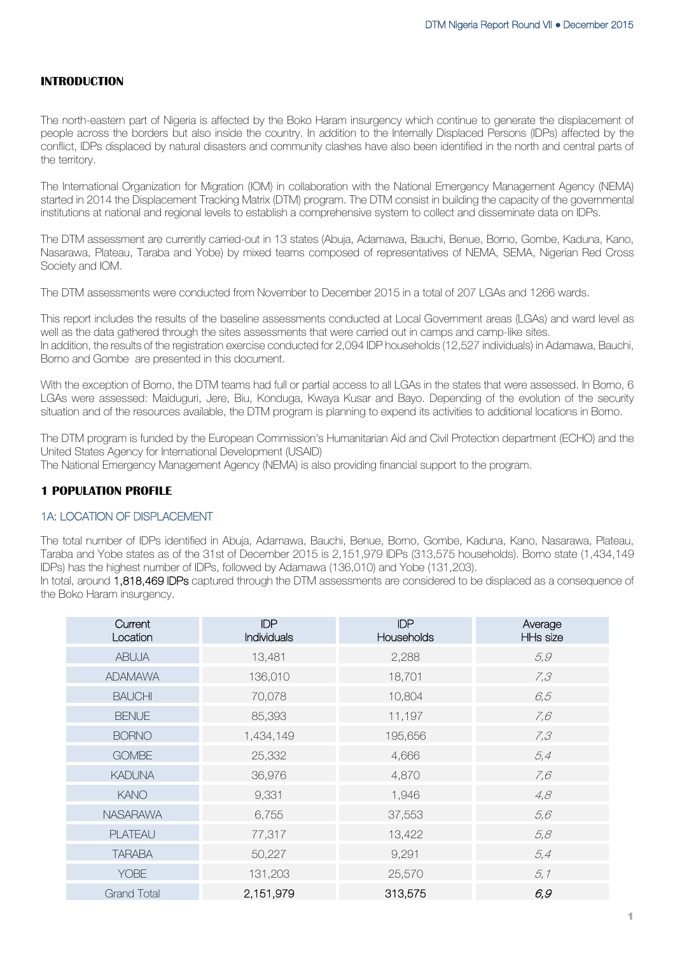## **INTRODUCTION**

The north-eastern part of Nigeria is affected by the Boko Haram insurgency which continue to generate the displacement of people across the borders but also inside the country. In addition to the Internally Displaced Persons (IDPs) affected by the conflict, IDPs displaced by natural disasters and community clashes have also been identified in the north and central parts of the territory.

The International Organization for Migration (IOM) in collaboration with the National Emergency Management Agency (NEMA) started in 2014 the Displacement Tracking Matrix (DTM) program. The DTM consist in building the capacity of the governmental institutions at national and regional levels to establish a comprehensive system to collect and disseminate data on IDPs.

The DTM assessment are currently carried-out in 13 states (Abuja, Adamawa, Bauchi, Benue, Borno, Gombe, Kaduna, Kano, Nasarawa, Plateau, Taraba and Yobe) by mixed teams composed of representatives of NEMA, SEMA, Nigerian Red Cross Society and IOM.

The DTM assessments were conducted from November to December 2015 in a total of 207 LGAs and 1266 wards.

This report includes the results of the baseline assessments conducted at Local Government areas (LGAs) and ward level as well as the data gathered through the sites assessments that were carried out in camps and camp-like sites. In addition, the results of the registration exercise conducted for 2,094 IDP households (12,527 individuals) in Adamawa, Bauchi, Borno and Gombe are presented in this document.

With the exception of Borno, the DTM teams had full or partial access to all LGAs in the states that were assessed. In Borno, 6 LGAs were assessed: Maiduguri, Jere, Biu, Konduga, Kwaya Kusar and Bayo. Depending of the evolution of the security situation and of the resources available, the DTM program is planning to expend its activities to additional locations in Borno.

The DTM program is funded by the European Commission's Humanitarian Aid and Civil Protection department (ECHO) and the United States Agency for International Development (USAID)

The National Emergency Management Agency (NEMA) is also providing financial support to the program.

## **1 POPULATION PROFILE**

## 1A: LOCATION OF DISPLACEMENT

The total number of IDPs identified in Abuja, Adamawa, Bauchi, Benue, Borno, Gombe, Kaduna, Kano, Nasarawa, Plateau, Taraba and Yobe states as of the 31st of December 2015 is 2,151,979 IDPs (313,575 households). Borno state (1,434,149 IDPs) has the highest number of IDPs, followed by Adamawa (136,010) and Yobe (131,203).

In total, around 1,818,469 IDPs captured through the DTM assessments are considered to be displaced as a consequence of the Boko Haram insurgency.

| Current<br>Location | <b>IDP</b><br><b>Individuals</b> | <b>IDP</b><br><b>Households</b> | Average<br>HHs size |
|---------------------|----------------------------------|---------------------------------|---------------------|
| <b>ABUJA</b>        | 13,481                           | 2,288                           | 5,9                 |
| <b>ADAMAWA</b>      | 136,010                          | 18,701                          | 7,3                 |
| <b>BAUCHI</b>       | 70,078                           | 10,804                          | 6,5                 |
| <b>BENUE</b>        | 85,393                           | 11,197                          | 7,6                 |
| <b>BORNO</b>        | 1,434,149                        | 195,656                         | 7,3                 |
| <b>GOMBE</b>        | 25,332                           | 4,666                           | 5,4                 |
| <b>KADUNA</b>       | 36,976                           | 4,870                           | 7,6                 |
| <b>KANO</b>         | 9,331                            | 1,946                           | 4,8                 |
| <b>NASARAWA</b>     | 6,755                            | 37,553                          | 5,6                 |
| <b>PLATEAU</b>      | 77,317                           | 13,422                          | 5,8                 |
| <b>TARABA</b>       | 50,227                           | 9,291                           | 5,4                 |
| <b>YOBE</b>         | 131,203                          | 25,570                          | 5,1                 |
| <b>Grand Total</b>  | 2,151,979                        | 313,575                         | 6,9                 |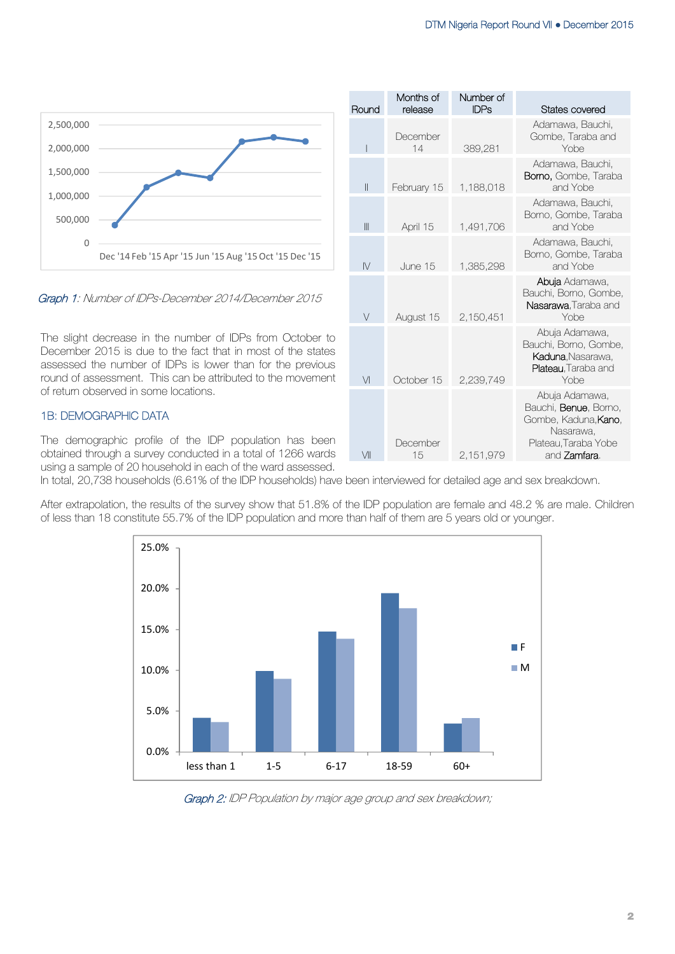IDPs States covered

Adamawa, Bauchi, Gombe, Taraba and Yobe

Adamawa, Bauchi,



Graph 1: Number of IDPs-December 2014/December 2015

The slight decrease in the number of IDPs from October to December 2015 is due to the fact that in most of the states assessed the number of IDPs is lower than for the previous round of assessment. This can be attributed to the movement of return observed in some locations.

## 1B: DEMOGRAPHIC DATA

The demographic profile of the IDP population has been obtained through a survey conducted in a total of 1266 wards using a sample of 20 household in each of the ward assessed.

In total, 20,738 households (6.61% of the IDP households) have been interviewed for detailed age and sex breakdown.

After extrapolation, the results of the survey show that 51.8% of the IDP population are female and 48.2 % are male. Children of less than 18 constitute 55.7% of the IDP population and more than half of them are 5 years old or younger.

Round

I

Months of release

December

14 389,281



Graph 2: IDP Population by major age group and sex breakdown;

| $\parallel$  | February 15    | 1,188,018 | Audi i idvva, Dauoi II,<br><b>Borno,</b> Gombe, Taraba<br>and Yobe                                                                  |
|--------------|----------------|-----------|-------------------------------------------------------------------------------------------------------------------------------------|
| $\mathbb{I}$ | April 15       | 1,491,706 | Adamawa, Bauchi,<br>Borno, Gombe, Taraba<br>and Yobe                                                                                |
| N            | June 15        | 1,385,298 | Adamawa, Bauchi,<br>Borno, Gombe, Taraba<br>and Yobe                                                                                |
| V            | August 15      | 2,150,451 | Abuja Adamawa,<br>Bauchi, Borno, Gombe,<br>Nasarawa, Taraba and<br>Yobe                                                             |
| VI           | October 15     | 2,239,749 | Abuja Adamawa,<br>Bauchi, Borno, Gombe,<br>Kaduna, Nasarawa,<br><b>Plateau</b> , Taraba and<br>Yobe                                 |
| VII          | December<br>15 | 2,151,979 | Abuja Adamawa,<br>Bauchi, <b>Benue</b> , Borno,<br>Gombe, Kaduna, <b>Kano</b> ,<br>Nasarawa,<br>Plateau,Taraba Yobe<br>and Zamfara. |
|              |                |           |                                                                                                                                     |

Number of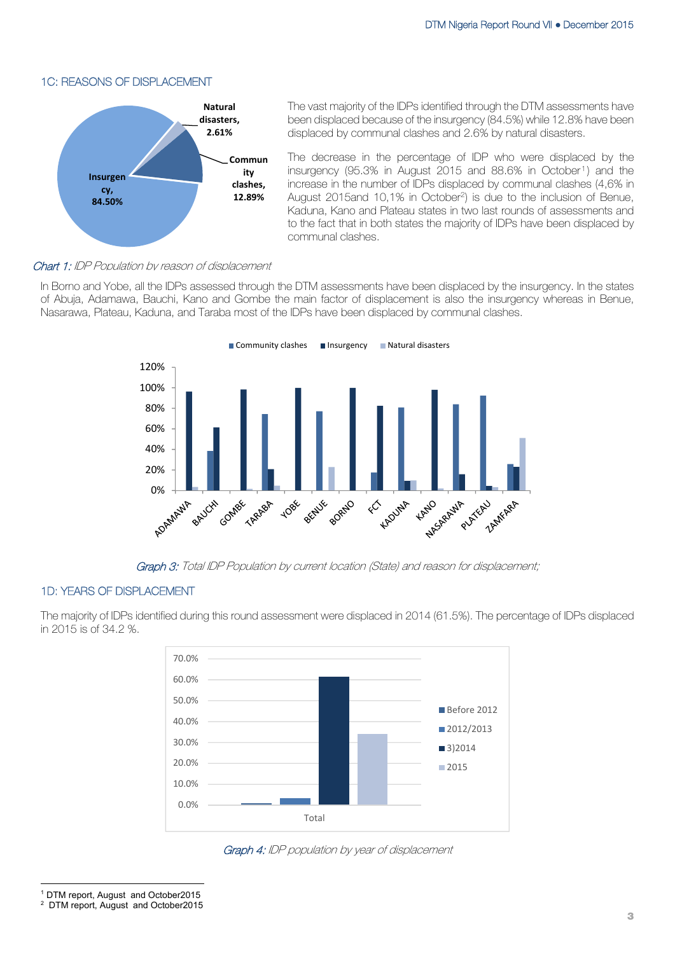### 1C: REASONS OF DISPLACEMENT



The vast majority of the IDPs identified through the DTM assessments have been displaced because of the insurgency (84.5%) while 12.8% have been displaced by communal clashes and 2.6% by natural disasters.

The decrease in the percentage of IDP who were displaced by the insurgency (95.3% in August 2015 and  $88.6\%$  in October<sup>1</sup>) and the increase in the number of IDPs displaced by communal clashes (4,6% in August 2015and 10,1% in October2) is due to the inclusion of Benue, Kaduna, Kano and Plateau states in two last rounds of assessments and to the fact that in both states the majority of IDPs have been displaced by communal clashes.

### Chart 1: IDP Population by reason of displacement

In Borno and Yobe, all the IDPs assessed through the DTM assessments have been displaced by the insurgency. In the states of Abuja, Adamawa, Bauchi, Kano and Gombe the main factor of displacement is also the insurgency whereas in Benue, Nasarawa, Plateau, Kaduna, and Taraba most of the IDPs have been displaced by communal clashes.



Graph 3: Total IDP Population by current location (State) and reason for displacement;

## 1D: YEARS OF DISPLACEMENT

The majority of IDPs identified during this round assessment were displaced in 2014 (61.5%). The percentage of IDPs displaced in 2015 is of 34.2 %.



Graph 4: IDP population by year of displacement

 1 DTM report, August and October2015

<sup>&</sup>lt;sup>2</sup> DTM report, August and October2015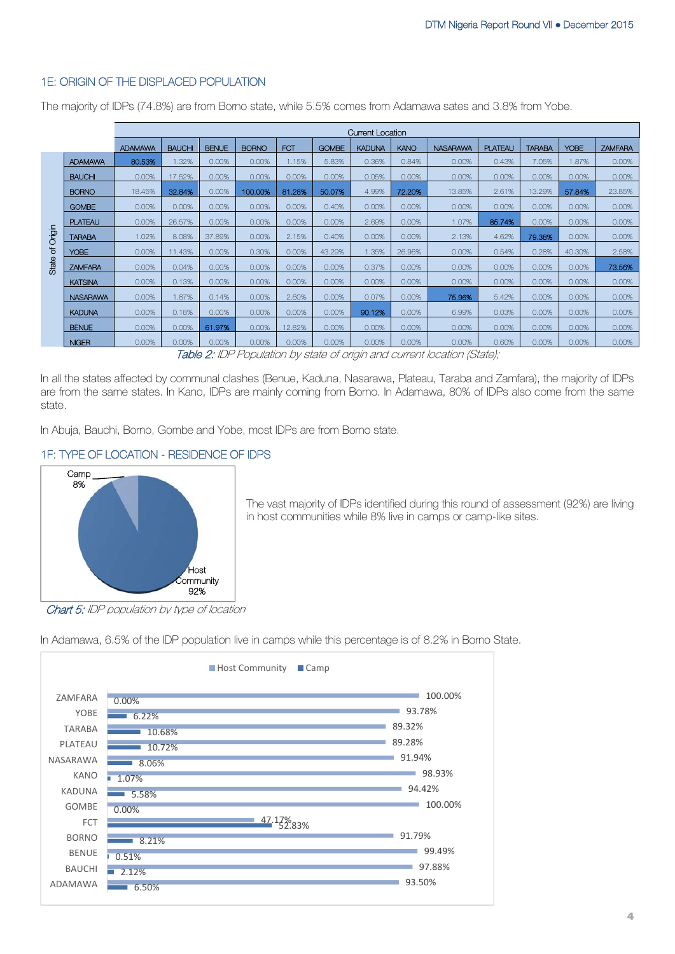## 1E: ORIGIN OF THE DISPLACED POPULATION

|                |                 | <b>Current Location</b> |               |                                             |              |            |              |               |             |                 |                |               |             |                |
|----------------|-----------------|-------------------------|---------------|---------------------------------------------|--------------|------------|--------------|---------------|-------------|-----------------|----------------|---------------|-------------|----------------|
|                |                 | <b>ADAMAWA</b>          | <b>BAUCHI</b> | <b>BENUE</b>                                | <b>BORNO</b> | <b>FCT</b> | <b>GOMBE</b> | <b>KADUNA</b> | <b>KANO</b> | <b>NASARAWA</b> | <b>PLATEAU</b> | <b>TARABA</b> | <b>YOBE</b> | <b>ZAMFARA</b> |
|                | <b>ADAMAWA</b>  | 80.53%                  | .32%          | 0.00%                                       | 0.00%        | 1.15%      | 5.83%        | 0.36%         | 0.84%       | 0.00%           | 0.43%          | 7.05%         | 1.87%       | 0.00%          |
|                | <b>BAUCHI</b>   | 0.00%                   | 17.52%        | 0.00%                                       | 0.00%        | 0.00%      | 0.00%        | 0.05%         | 0.00%       | 0.00%           | 0.00%          | 0.00%         | 0.00%       | 0.00%          |
|                | <b>BORNO</b>    | 18.45%                  | 32.84%        | 0.00%                                       | 100.00%      | 81.28%     | 50.07%       | 4.99%         | 72.20%      | 13.85%          | 2.61%          | 13.29%        | 57.84%      | 23.85%         |
|                | <b>GOMBE</b>    | 0.00%                   | 0.00%         | 0.00%                                       | 0.00%        | 0.00%      | 0.40%        | 0.00%         | 0.00%       | 0.00%           | 0.00%          | 0.00%         | 0.00%       | 0.00%          |
|                | <b>PLATEAU</b>  | 0.00%                   | 26.57%        | 0.00%                                       | 0.00%        | 0.00%      | 0.00%        | 2.69%         | 0.00%       | 1.07%           | 85.74%         | 0.00%         | 0.00%       | 0.00%          |
| Origin         | <b>TARABA</b>   | 1.02%                   | 8.08%         | 37.89%                                      | 0.00%        | 2.15%      | 0.40%        | 0.00%         | 0.00%       | 2.13%           | 4.62%          | 79.38%        | 0.00%       | 0.00%          |
| $\bar{\sigma}$ | <b>YOBE</b>     | 0.00%                   | 11.43%        | 0.00%                                       | 0.30%        | 0.00%      | 43.29%       | 1.35%         | 26.96%      | 0.00%           | 0.54%          | 0.28%         | 40.30%      | 2.58%          |
| State          | <b>ZAMFARA</b>  | 0.00%                   | 0.04%         | 0.00%                                       | 0.00%        | 0.00%      | 0.00%        | 0.37%         | 0.00%       | 0.00%           | 0.00%          | 0.00%         | 0.00%       | 73.56%         |
|                | <b>KATSINA</b>  | 0.00%                   | 0.13%         | 0.00%                                       | 0.00%        | 0.00%      | 0.00%        | 0.00%         | 0.00%       | 0.00%           | 0.00%          | 0.00%         | 0.00%       | 0.00%          |
|                | <b>NASARAWA</b> | 0.00%                   | 1.87%         | 0.14%                                       | 0.00%        | 2.60%      | 0.00%        | 0.07%         | 0.00%       | 75.96%          | 5.42%          | 0.00%         | 0.00%       | 0.00%          |
|                | <b>KADUNA</b>   | 0.00%                   | 0.18%         | 0.00%                                       | 0.00%        | 0.00%      | 0.00%        | 90.12%        | 0.00%       | 6.99%           | 0.03%          | 0.00%         | 0.00%       | 0.00%          |
|                | <b>BENUE</b>    | 0.00%                   | 0.00%         | 61.97%                                      | 0.00%        | 12.82%     | 0.00%        | 0.00%         | 0.00%       | 0.00%           | 0.00%          | 0.00%         | 0.00%       | 0.00%          |
|                | <b>NIGER</b>    | 0.00%                   | 0.00%         | 0.00%<br>$\overline{\phantom{a}}$<br>$\sim$ | 0.00%        | 0.00%      | 0.00%        | 0.00%         | 0.00%       | 0.00%<br>$\sim$ | 0.60%          | 0.00%         | 0.00%       | 0.00%          |

The majority of IDPs (74.8%) are from Borno state, while 5.5% comes from Adamawa sates and 3.8% from Yobe.

Table 2: IDP Population by state of origin and current location (State);

In all the states affected by communal clashes (Benue, Kaduna, Nasarawa, Plateau, Taraba and Zamfara), the majority of IDPs are from the same states. In Kano, IDPs are mainly coming from Borno. In Adamawa, 80% of IDPs also come from the same state.

In Abuja, Bauchi, Borno, Gombe and Yobe, most IDPs are from Borno state.

#### 1F: TYPE OF LOCATION - RESIDENCE OF IDPS



The vast majority of IDPs identified during this round of assessment (92%) are living in host communities while 8% live in camps or camp-like sites.

Chart 5: IDP population by type of location

In Adamawa, 6.5% of the IDP population live in camps while this percentage is of 8.2% in Borno State.

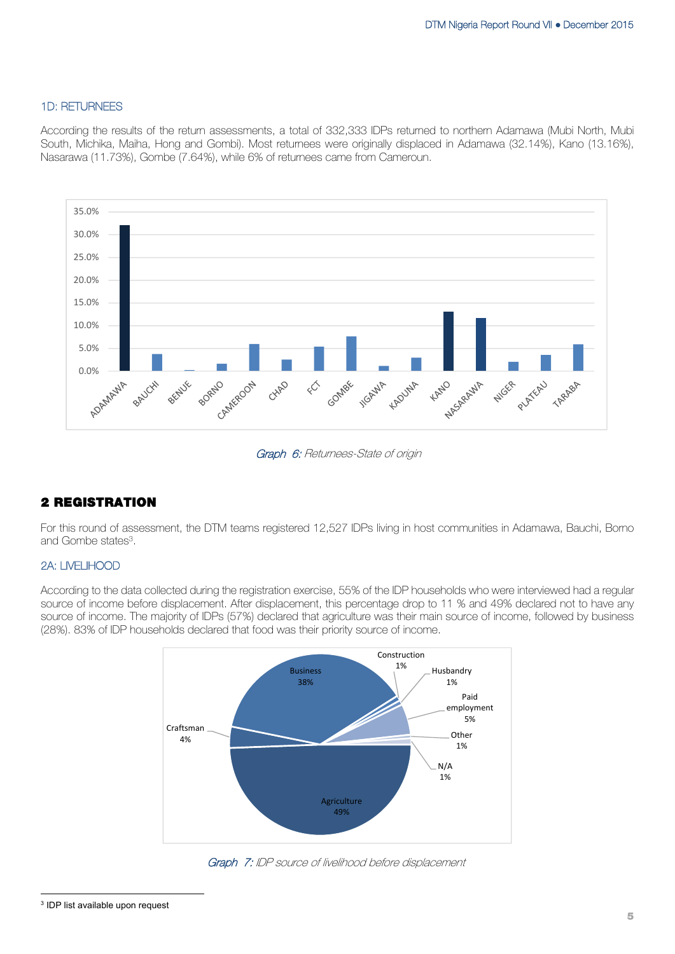### 1D: RETURNEES

According the results of the return assessments, a total of 332,333 IDPs returned to northern Adamawa (Mubi North, Mubi South, Michika, Maiha, Hong and Gombi). Most returnees were originally displaced in Adamawa (32.14%), Kano (13.16%), Nasarawa (11.73%), Gombe (7.64%), while 6% of returnees came from Cameroun.



Graph 6: Returnees-State of origin

## **2 REGISTRATION**

For this round of assessment, the DTM teams registered 12,527 IDPs living in host communities in Adamawa, Bauchi, Borno and Gombe states3.

## 2A: LIVELIHOOD

According to the data collected during the registration exercise, 55% of the IDP households who were interviewed had a regular source of income before displacement. After displacement, this percentage drop to 11 % and 49% declared not to have any source of income. The majority of IDPs (57%) declared that agriculture was their main source of income, followed by business (28%). 83% of IDP households declared that food was their priority source of income.



Graph 7: IDP source of livelihood before displacement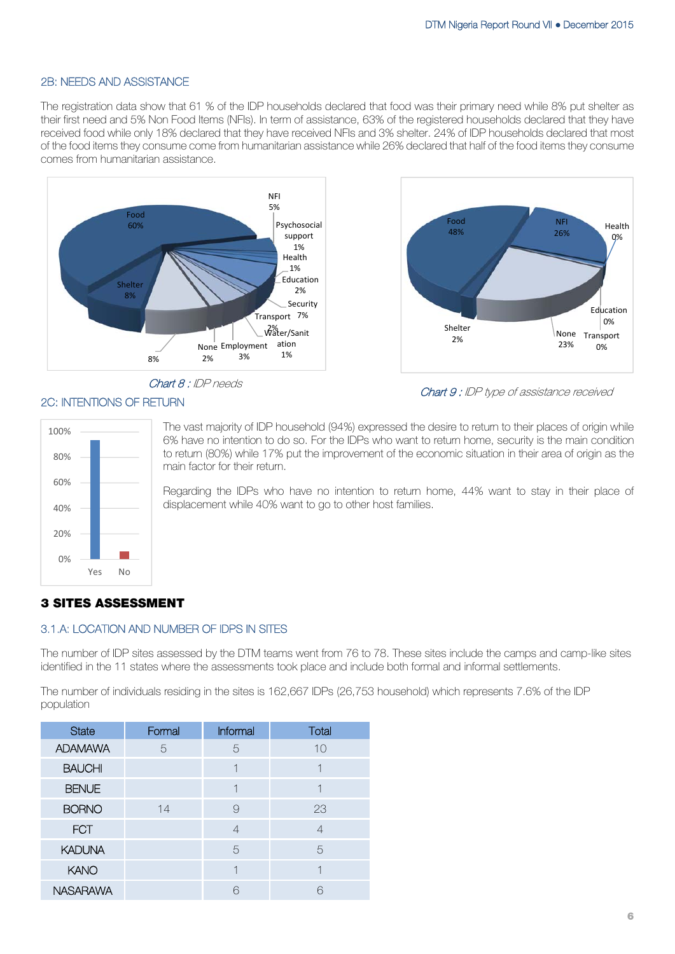## 2B: NEEDS AND ASSISTANCE

The registration data show that 61 % of the IDP households declared that food was their primary need while 8% put shelter as their first need and 5% Non Food Items (NFIs). In term of assistance, 63% of the registered households declared that they have received food while only 18% declared that they have received NFIs and 3% shelter. 24% of IDP households declared that most of the food items they consume come from humanitarian assistance while 26% declared that half of the food items they consume comes from humanitarian assistance.







## 2C: INTENTIONS OF RETURN

Chart 9 : IDP type of assistance received



The vast majority of IDP household (94%) expressed the desire to return to their places of origin while 6% have no intention to do so. For the IDPs who want to return home, security is the main condition to return (80%) while 17% put the improvement of the economic situation in their area of origin as the main factor for their return.

Regarding the IDPs who have no intention to return home, 44% want to stay in their place of displacement while 40% want to go to other host families.

## **3 SITES ASSESSMENT**

### 3.1.A: LOCATION AND NUMBER OF IDPS IN SITES

The number of IDP sites assessed by the DTM teams went from 76 to 78. These sites include the camps and camp-like sites identified in the 11 states where the assessments took place and include both formal and informal settlements.

The number of individuals residing in the sites is 162,667 IDPs (26,753 household) which represents 7.6% of the IDP population

| <b>State</b>    | Formal | Informal       | Total |
|-----------------|--------|----------------|-------|
| <b>ADAMAWA</b>  | 5      | 5              | 10    |
| <b>BAUCHI</b>   |        |                |       |
| <b>BENUE</b>    |        |                |       |
| <b>BORNO</b>    | 14     | 9              | 23    |
| <b>FCT</b>      |        | $\overline{4}$ | 4     |
| <b>KADUNA</b>   |        | 5              | 5     |
| <b>KANO</b>     |        |                |       |
| <b>NASARAWA</b> |        | A              | հ     |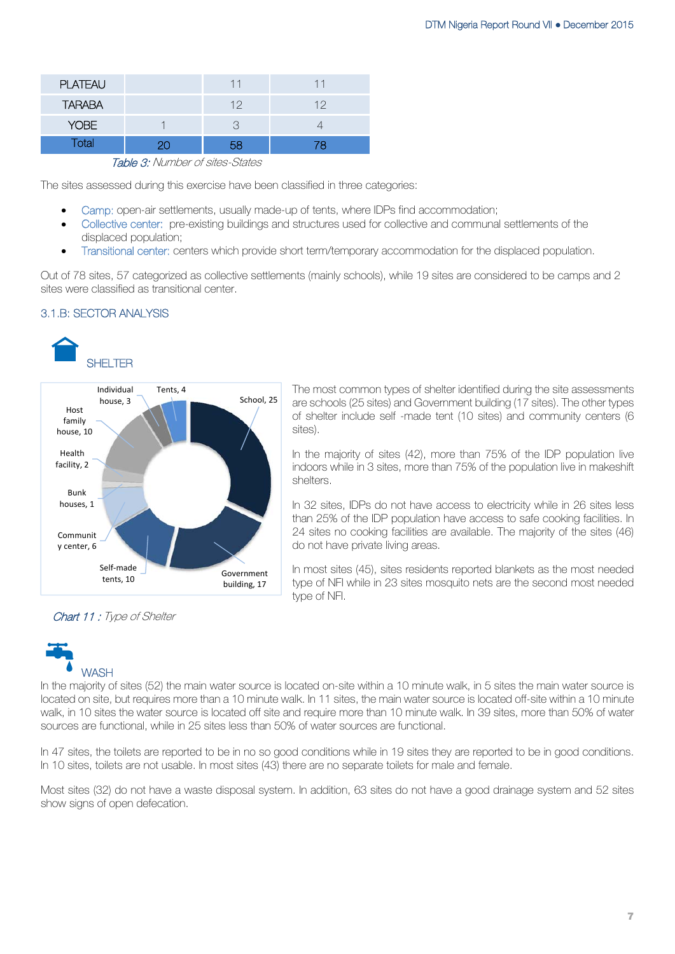| <b>PLATEAU</b>                      |    | 11 | 11 |  |  |
|-------------------------------------|----|----|----|--|--|
| <b>TARABA</b>                       |    | 12 | 12 |  |  |
| YOBE                                |    |    |    |  |  |
| <b>Total</b>                        | 20 | 58 | 78 |  |  |
| $T_0$ blo Qullumbor of other Ctates |    |    |    |  |  |

Table 3: Number of sites-States

The sites assessed during this exercise have been classified in three categories:

- Camp: open-air settlements, usually made-up of tents, where IDPs find accommodation;
- Collective center: pre-existing buildings and structures used for collective and communal settlements of the displaced population;
- Transitional center: centers which provide short term/temporary accommodation for the displaced population.

Out of 78 sites, 57 categorized as collective settlements (mainly schools), while 19 sites are considered to be camps and 2 sites were classified as transitional center.

## 3.1.B: SECTOR ANALYSIS



The most common types of shelter identified during the site assessments are schools (25 sites) and Government building (17 sites). The other types of shelter include self -made tent (10 sites) and community centers (6 sites).

In the majority of sites (42), more than 75% of the IDP population live indoors while in 3 sites, more than 75% of the population live in makeshift shelters.

In 32 sites, IDPs do not have access to electricity while in 26 sites less than 25% of the IDP population have access to safe cooking facilities. In 24 sites no cooking facilities are available. The majority of the sites (46) do not have private living areas.

In most sites (45), sites residents reported blankets as the most needed type of NFI while in 23 sites mosquito nets are the second most needed type of NFI.

Chart 11 : Type of Shelter



In the majority of sites (52) the main water source is located on-site within a 10 minute walk, in 5 sites the main water source is located on site, but requires more than a 10 minute walk. In 11 sites, the main water source is located off-site within a 10 minute walk, in 10 sites the water source is located off site and require more than 10 minute walk. In 39 sites, more than 50% of water sources are functional, while in 25 sites less than 50% of water sources are functional.

In 47 sites, the toilets are reported to be in no so good conditions while in 19 sites they are reported to be in good conditions. In 10 sites, toilets are not usable. In most sites (43) there are no separate toilets for male and female.

Most sites (32) do not have a waste disposal system. In addition, 63 sites do not have a good drainage system and 52 sites show signs of open defecation.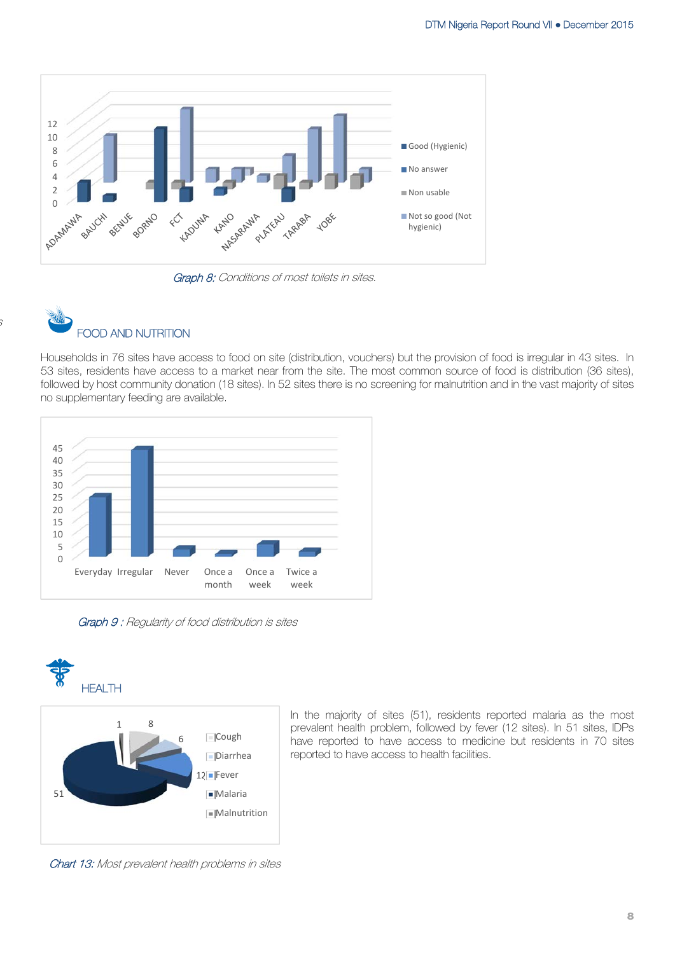

Graph 8: Conditions of most toilets in sites.



s

Households in 76 sites have access to food on site (distribution, vouchers) but the provision of food is irregular in 43 sites. In 53 sites, residents have access to a market near from the site. The most common source of food is distribution (36 sites), followed by host community donation (18 sites). In 52 sites there is no screening for malnutrition and in the vast majority of sites no supplementary feeding are available.



Graph 9 : Regularity of food distribution is sites



In the majority of sites (51), residents reported malaria as the most prevalent health problem, followed by fever (12 sites). In 51 sites, IDPs have reported to have access to medicine but residents in 70 sites reported to have access to health facilities.

Chart 13: Most prevalent health problems in sites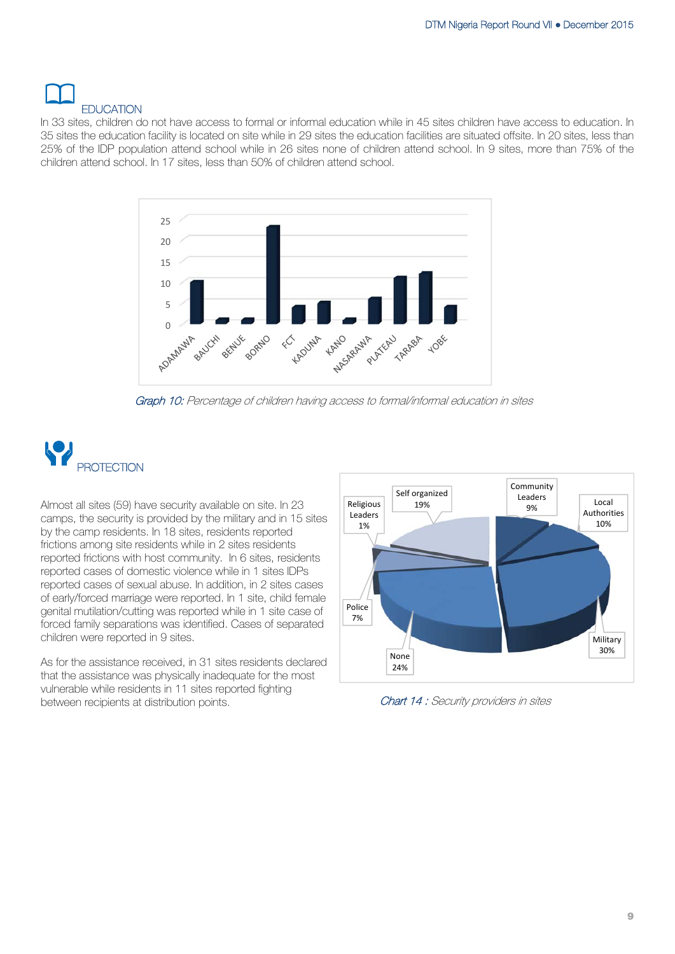## **EDUCATION**

In 33 sites, children do not have access to formal or informal education while in 45 sites children have access to education. In 35 sites the education facility is located on site while in 29 sites the education facilities are situated offsite. In 20 sites, less than 25% of the IDP population attend school while in 26 sites none of children attend school. In 9 sites, more than 75% of the children attend school. In 17 sites, less than 50% of children attend school.



Graph 10: Percentage of children having access to formal/informal education in sites



Almost all sites (59) have security available on site. In 23 camps, the security is provided by the military and in 15 sites by the camp residents. In 18 sites, residents reported frictions among site residents while in 2 sites residents reported frictions with host community. In 6 sites, residents reported cases of domestic violence while in 1 sites IDPs reported cases of sexual abuse. In addition, in 2 sites cases of early/forced marriage were reported. In 1 site, child female genital mutilation/cutting was reported while in 1 site case of forced family separations was identified. Cases of separated children were reported in 9 sites.

As for the assistance received, in 31 sites residents declared that the assistance was physically inadequate for the most vulnerable while residents in 11 sites reported fighting between recipients at distribution points.



Chart 14 : Security providers in sites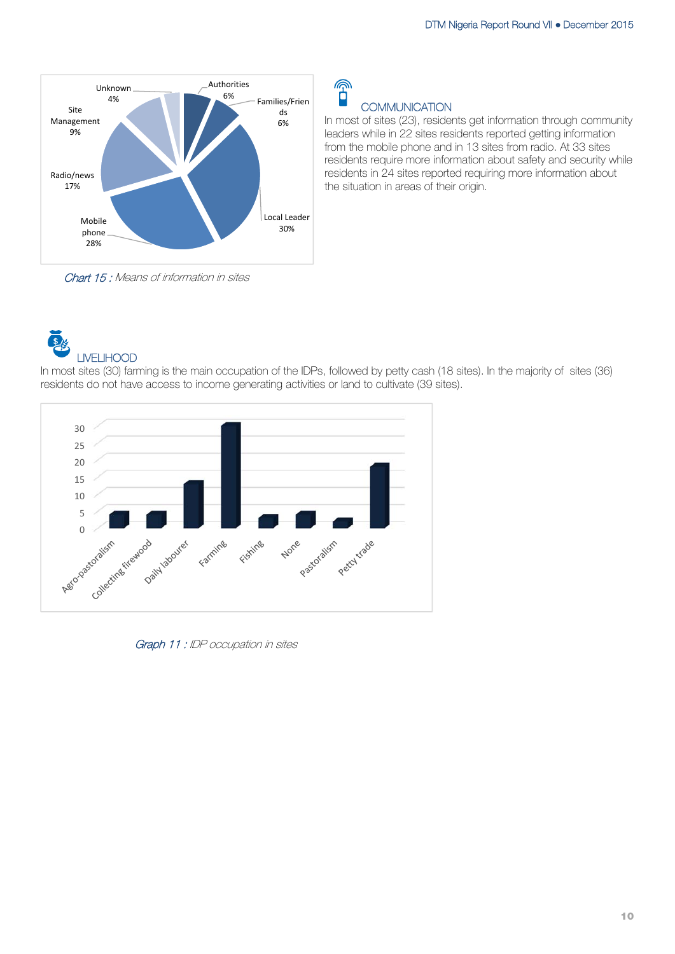

Chart 15 : Means of information in sites

## $\text{D}$ **COMMUNICATION**

In most of sites (23), residents get information through community leaders while in 22 sites residents reported getting information from the mobile phone and in 13 sites from radio. At 33 sites residents require more information about safety and security while residents in 24 sites reported requiring more information about the situation in areas of their origin.

# LIVELIHOOD

In most sites (30) farming is the main occupation of the IDPs, followed by petty cash (18 sites). In the majority of sites (36) residents do not have access to income generating activities or land to cultivate (39 sites).



Graph 11 : IDP occupation in sites